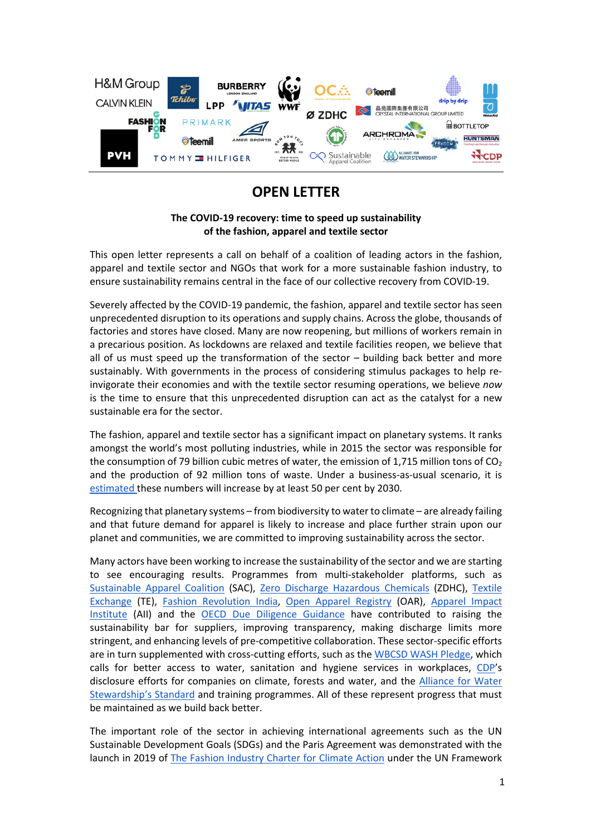

## **OPEN LETTER**

## **The COVID-19 recovery: time to speed up sustainability of the fashion, apparel and textile sector**

This open letter represents a call on behalf of a coalition of leading actors in the fashion, apparel and textile sector and NGOs that work for a more sustainable fashion industry, to ensure sustainability remains central in the face of our collective recovery from COVID-19.

Severely affected by the COVID-19 pandemic, the fashion, apparel and textile sector has seen unprecedented disruption to its operations and supply chains. Across the globe, thousands of factories and stores have closed. Many are now reopening, but millions of workers remain in a precarious position. As lockdowns are relaxed and textile facilities reopen, we believe that all of us must speed up the transformation of the sector – building back better and more sustainably. With governments in the process of considering stimulus packages to help reinvigorate their economies and with the textile sector resuming operations, we believe *now*  is the time to ensure that this unprecedented disruption can act as the catalyst for a new sustainable era for the sector.

The fashion, apparel and textile sector has a significant impact on planetary systems. It ranks amongst the world's most polluting industries, while in 2015 the sector was responsible for the consumption of 79 billion cubic metres of water, the emission of 1,715 million tons of  $CO<sub>2</sub>$ and the production of 92 million tons of waste. Under a business-as-usual scenario, it is estimated these numbers will increase by at least 50 per cent by 2030.

Recognizing that planetary systems – from biodiversity to water to climate – are already failing and that future demand for apparel is likely to increase and place further strain upon our planet and communities, we are committed to improving sustainability across the sector.

Many actors have been working to increase the sustainability of the sector and we are starting to see encouraging results. Programmes from multi-stakeholder platforms, such as Sustainable Apparel Coalition (SAC), Zero Discharge Hazardous Chemicals (ZDHC), Textile Exchange (TE), Fashion Revolution India, Open Apparel Registry (OAR), Apparel Impact Institute (AII) and the OECD Due Diligence Guidance have contributed to raising the sustainability bar for suppliers, improving transparency, making discharge limits more stringent, and enhancing levels of pre-competitive collaboration. These sector-specific efforts are in turn supplemented with cross-cutting efforts, such as the WBCSD WASH Pledge, which calls for better access to water, sanitation and hygiene services in workplaces, CDP's disclosure efforts for companies on climate, forests and water, and the Alliance for Water Stewardship's Standard and training programmes. All of these represent progress that must be maintained as we build back better.

The important role of the sector in achieving international agreements such as the UN Sustainable Development Goals (SDGs) and the Paris Agreement was demonstrated with the launch in 2019 of The Fashion Industry Charter for Climate Action under the UN Framework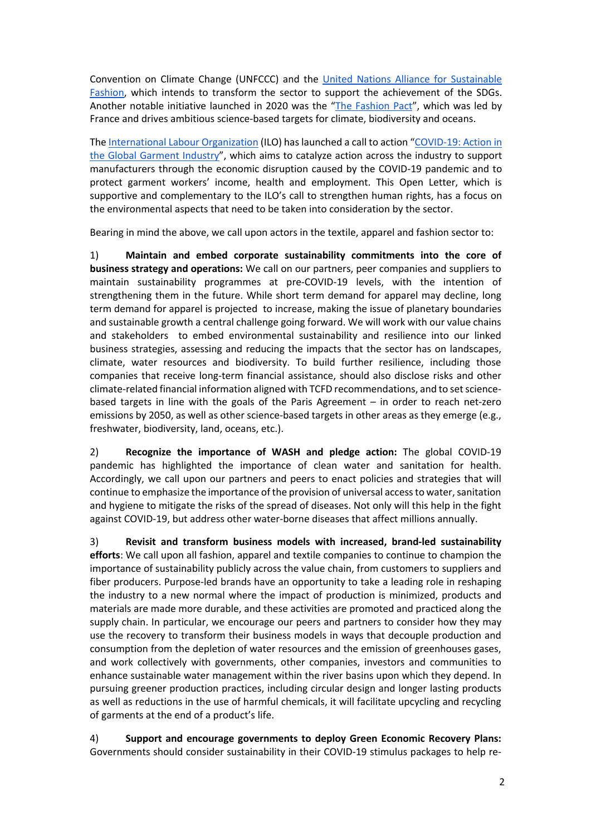Convention on Climate Change (UNFCCC) and the United Nations Alliance for Sustainable Fashion, which intends to transform the sector to support the achievement of the SDGs. Another notable initiative launched in 2020 was the "The Fashion Pact", which was led by France and drives ambitious science-based targets for climate, biodiversity and oceans.

The International Labour Organization (ILO) has launched a call to action "COVID-19: Action in the Global Garment Industry", which aims to catalyze action across the industry to support manufacturers through the economic disruption caused by the COVID-19 pandemic and to protect garment workers' income, health and employment. This Open Letter, which is supportive and complementary to the ILO's call to strengthen human rights, has a focus on the environmental aspects that need to be taken into consideration by the sector.

Bearing in mind the above, we call upon actors in the textile, apparel and fashion sector to:

1) **Maintain and embed corporate sustainability commitments into the core of business strategy and operations:** We call on our partners, peer companies and suppliers to maintain sustainability programmes at pre-COVID-19 levels, with the intention of strengthening them in the future. While short term demand for apparel may decline, long term demand for apparel is projected to increase, making the issue of planetary boundaries and sustainable growth a central challenge going forward. We will work with our value chains and stakeholders to embed environmental sustainability and resilience into our linked business strategies, assessing and reducing the impacts that the sector has on landscapes, climate, water resources and biodiversity. To build further resilience, including those companies that receive long-term financial assistance, should also disclose risks and other climate-related financial information aligned with TCFD recommendations, and to set sciencebased targets in line with the goals of the Paris Agreement – in order to reach net-zero emissions by 2050, as well as other science-based targets in other areas as they emerge (e.g., freshwater, biodiversity, land, oceans, etc.).

2) **Recognize the importance of WASH and pledge action:** The global COVID-19 pandemic has highlighted the importance of clean water and sanitation for health. Accordingly, we call upon our partners and peers to enact policies and strategies that will continue to emphasize the importance of the provision of universal access to water, sanitation and hygiene to mitigate the risks of the spread of diseases. Not only will this help in the fight against COVID-19, but address other water-borne diseases that affect millions annually.

3) **Revisit and transform business models with increased, brand-led sustainability efforts**: We call upon all fashion, apparel and textile companies to continue to champion the importance of sustainability publicly across the value chain, from customers to suppliers and fiber producers. Purpose-led brands have an opportunity to take a leading role in reshaping the industry to a new normal where the impact of production is minimized, products and materials are made more durable, and these activities are promoted and practiced along the supply chain. In particular, we encourage our peers and partners to consider how they may use the recovery to transform their business models in ways that decouple production and consumption from the depletion of water resources and the emission of greenhouses gases, and work collectively with governments, other companies, investors and communities to enhance sustainable water management within the river basins upon which they depend. In pursuing greener production practices, including circular design and longer lasting products as well as reductions in the use of harmful chemicals, it will facilitate upcycling and recycling of garments at the end of a product's life.

4) **Support and encourage governments to deploy Green Economic Recovery Plans:** Governments should consider sustainability in their COVID-19 stimulus packages to help re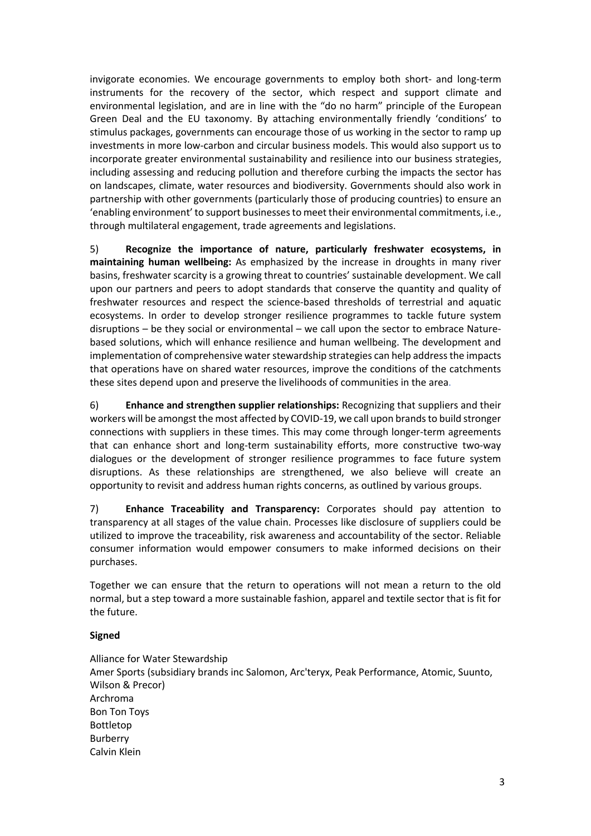invigorate economies. We encourage governments to employ both short- and long-term instruments for the recovery of the sector, which respect and support climate and environmental legislation, and are in line with the "do no harm" principle of the European Green Deal and the EU taxonomy. By attaching environmentally friendly 'conditions' to stimulus packages, governments can encourage those of us working in the sector to ramp up investments in more low-carbon and circular business models. This would also support us to incorporate greater environmental sustainability and resilience into our business strategies, including assessing and reducing pollution and therefore curbing the impacts the sector has on landscapes, climate, water resources and biodiversity. Governments should also work in partnership with other governments (particularly those of producing countries) to ensure an 'enabling environment' to support businesses to meet their environmental commitments, i.e., through multilateral engagement, trade agreements and legislations.

5) **Recognize the importance of nature, particularly freshwater ecosystems, in maintaining human wellbeing:** As emphasized by the increase in droughts in many river basins, freshwater scarcity is a growing threat to countries' sustainable development. We call upon our partners and peers to adopt standards that conserve the quantity and quality of freshwater resources and respect the science-based thresholds of terrestrial and aquatic ecosystems. In order to develop stronger resilience programmes to tackle future system disruptions – be they social or environmental – we call upon the sector to embrace Naturebased solutions, which will enhance resilience and human wellbeing. The development and implementation of comprehensive water stewardship strategies can help address the impacts that operations have on shared water resources, improve the conditions of the catchments these sites depend upon and preserve the livelihoods of communities in the area.

6) **Enhance and strengthen supplier relationships:** Recognizing that suppliers and their workers will be amongst the most affected by COVID-19, we call upon brands to build stronger connections with suppliers in these times. This may come through longer-term agreements that can enhance short and long-term sustainability efforts, more constructive two-way dialogues or the development of stronger resilience programmes to face future system disruptions. As these relationships are strengthened, we also believe will create an opportunity to revisit and address human rights concerns, as outlined by various groups.

7) **Enhance Traceability and Transparency:** Corporates should pay attention to transparency at all stages of the value chain. Processes like disclosure of suppliers could be utilized to improve the traceability, risk awareness and accountability of the sector. Reliable consumer information would empower consumers to make informed decisions on their purchases.

Together we can ensure that the return to operations will not mean a return to the old normal, but a step toward a more sustainable fashion, apparel and textile sector that is fit for the future.

## **Signed**

Alliance for Water Stewardship Amer Sports (subsidiary brands inc Salomon, Arc'teryx, Peak Performance, Atomic, Suunto, Wilson & Precor) Archroma Bon Ton Toys Bottletop Burberry Calvin Klein